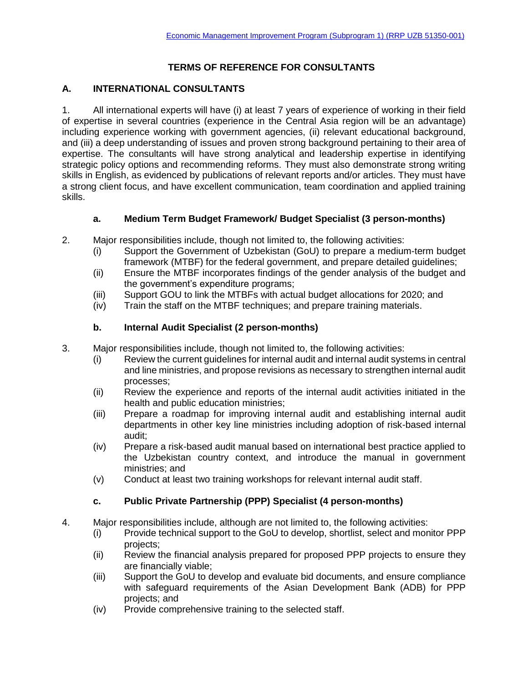### **TERMS OF REFERENCE FOR CONSULTANTS**

#### **A. INTERNATIONAL CONSULTANTS**

1. All international experts will have (i) at least 7 years of experience of working in their field of expertise in several countries (experience in the Central Asia region will be an advantage) including experience working with government agencies, (ii) relevant educational background, and (iii) a deep understanding of issues and proven strong background pertaining to their area of expertise. The consultants will have strong analytical and leadership expertise in identifying strategic policy options and recommending reforms. They must also demonstrate strong writing skills in English, as evidenced by publications of relevant reports and/or articles. They must have a strong client focus, and have excellent communication, team coordination and applied training skills.

#### **a. Medium Term Budget Framework/ Budget Specialist (3 person-months)**

- 2. Major responsibilities include, though not limited to, the following activities:
	- (i) Support the Government of Uzbekistan (GoU) to prepare a medium-term budget framework (MTBF) for the federal government, and prepare detailed guidelines;
	- (ii) Ensure the MTBF incorporates findings of the gender analysis of the budget and the government's expenditure programs;
	- (iii) Support GOU to link the MTBFs with actual budget allocations for 2020; and
	- (iv) Train the staff on the MTBF techniques; and prepare training materials.

#### **b. Internal Audit Specialist (2 person-months)**

- 3. Major responsibilities include, though not limited to, the following activities:
	- (i) Review the current guidelines for internal audit and internal audit systems in central and line ministries, and propose revisions as necessary to strengthen internal audit processes;
	- (ii) Review the experience and reports of the internal audit activities initiated in the health and public education ministries;
	- (iii) Prepare a roadmap for improving internal audit and establishing internal audit departments in other key line ministries including adoption of risk-based internal audit;
	- (iv) Prepare a risk-based audit manual based on international best practice applied to the Uzbekistan country context, and introduce the manual in government ministries; and
	- (v) Conduct at least two training workshops for relevant internal audit staff.

#### **c. Public Private Partnership (PPP) Specialist (4 person-months)**

- 4. Major responsibilities include, although are not limited to, the following activities:
	- (i) Provide technical support to the GoU to develop, shortlist, select and monitor PPP projects;
	- (ii) Review the financial analysis prepared for proposed PPP projects to ensure they are financially viable;
	- (iii) Support the GoU to develop and evaluate bid documents, and ensure compliance with safeguard requirements of the Asian Development Bank (ADB) for PPP projects; and
	- (iv) Provide comprehensive training to the selected staff.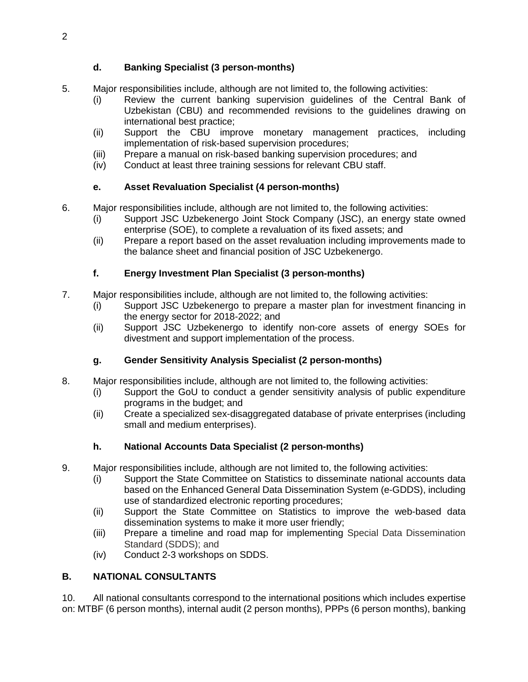## **d. Banking Specialist (3 person-months)**

- 5. Major responsibilities include, although are not limited to, the following activities:
	- (i) Review the current banking supervision guidelines of the Central Bank of Uzbekistan (CBU) and recommended revisions to the guidelines drawing on international best practice;
	- (ii) Support the CBU improve monetary management practices, including implementation of risk-based supervision procedures;
	- (iii) Prepare a manual on risk-based banking supervision procedures; and
	- (iv) Conduct at least three training sessions for relevant CBU staff.

## **e. Asset Revaluation Specialist (4 person-months)**

- 6. Major responsibilities include, although are not limited to, the following activities:
	- (i) Support JSC Uzbekenergo Joint Stock Company (JSC), an energy state owned enterprise (SOE), to complete a revaluation of its fixed assets; and
	- (ii) Prepare a report based on the asset revaluation including improvements made to the balance sheet and financial position of JSC Uzbekenergo.

## **f. Energy Investment Plan Specialist (3 person-months)**

- 7. Major responsibilities include, although are not limited to, the following activities:
	- (i) Support JSC Uzbekenergo to prepare a master plan for investment financing in the energy sector for 2018-2022; and
	- (ii) Support JSC Uzbekenergo to identify non-core assets of energy SOEs for divestment and support implementation of the process.

# **g. Gender Sensitivity Analysis Specialist (2 person-months)**

- 8. Major responsibilities include, although are not limited to, the following activities:
	- (i) Support the GoU to conduct a gender sensitivity analysis of public expenditure programs in the budget; and
	- (ii) Create a specialized sex-disaggregated database of private enterprises (including small and medium enterprises).

# **h. National Accounts Data Specialist (2 person-months)**

- 9. Major responsibilities include, although are not limited to, the following activities:
	- (i) Support the State Committee on Statistics to disseminate national accounts data based on the Enhanced General Data Dissemination System (e-GDDS), including use of standardized electronic reporting procedures;
	- (ii) Support the State Committee on Statistics to improve the web-based data dissemination systems to make it more user friendly;
	- (iii) Prepare a timeline and road map for implementing Special Data Dissemination Standard (SDDS); and
	- (iv) Conduct 2-3 workshops on SDDS.

# **B. NATIONAL CONSULTANTS**

10. All national consultants correspond to the international positions which includes expertise on: MTBF (6 person months), internal audit (2 person months), PPPs (6 person months), banking